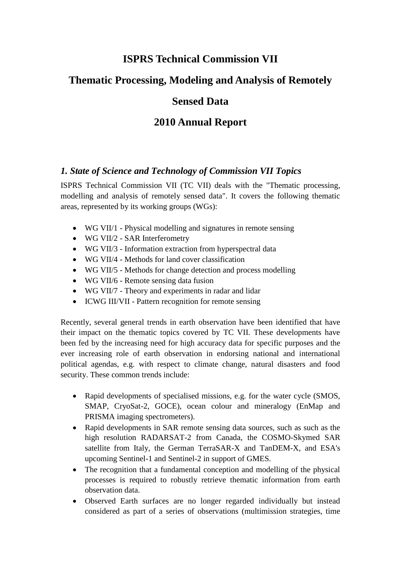# **ISPRS Technical Commission VII**

# **Thematic Processing, Modeling and Analysis of Remotely**

# **Sensed Data**

# **2010 Annual Report**

## *1. State of Science and Technology of Commission VII Topics*

ISPRS Technical Commission VII (TC VII) deals with the "Thematic processing, modelling and analysis of remotely sensed data". It covers the following thematic areas, represented by its working groups (WGs):

- WG VII/1 Physical modelling and signatures in remote sensing
- WG VII/2 SAR Interferometry
- WG VII/3 Information extraction from hyperspectral data
- WG VII/4 Methods for land cover classification
- WG VII/5 Methods for change detection and process modelling
- WG VII/6 Remote sensing data fusion
- WG VII/7 Theory and experiments in radar and lidar
- ICWG III/VII Pattern recognition for remote sensing

Recently, several general trends in earth observation have been identified that have their impact on the thematic topics covered by TC VII. These developments have been fed by the increasing need for high accuracy data for specific purposes and the ever increasing role of earth observation in endorsing national and international political agendas, e.g. with respect to climate change, natural disasters and food security. These common trends include:

- Rapid developments of specialised missions, e.g. for the water cycle (SMOS, SMAP, CryoSat-2, GOCE), ocean colour and mineralogy (EnMap and PRISMA imaging spectrometers).
- Rapid developments in SAR remote sensing data sources, such as such as the high resolution RADARSAT-2 from Canada, the COSMO-Skymed SAR satellite from Italy, the German TerraSAR-X and TanDEM-X, and ESA's upcoming Sentinel-1 and Sentinel-2 in support of GMES.
- The recognition that a fundamental conception and modelling of the physical processes is required to robustly retrieve thematic information from earth observation data.
- Observed Earth surfaces are no longer regarded individually but instead considered as part of a series of observations (multimission strategies, time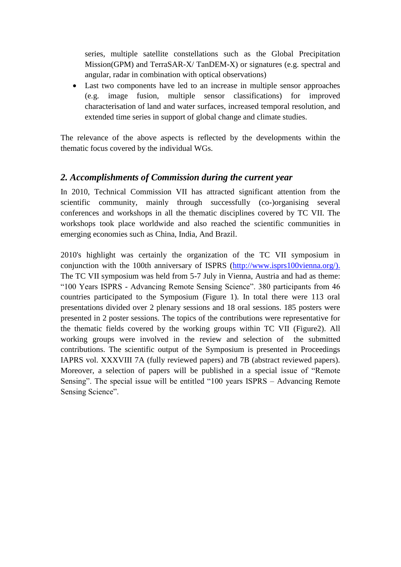series, multiple satellite constellations such as the Global Precipitation Mission(GPM) and TerraSAR-X/ TanDEM-X) or signatures (e.g. spectral and angular, radar in combination with optical observations)

 Last two components have led to an increase in multiple sensor approaches (e.g. image fusion, multiple sensor classifications) for improved characterisation of land and water surfaces, increased temporal resolution, and extended time series in support of global change and climate studies.

The relevance of the above aspects is reflected by the developments within the thematic focus covered by the individual WGs.

### *2. Accomplishments of Commission during the current year*

In 2010, Technical Commission VII has attracted significant attention from the scientific community, mainly through successfully (co-)organising several conferences and workshops in all the thematic disciplines covered by TC VII. The workshops took place worldwide and also reached the scientific communities in emerging economies such as China, India, And Brazil.

2010's highlight was certainly the organization of the TC VII symposium in conjunction with the 100th anniversary of ISPRS [\(http://www.isprs100vienna.org/\)](http://www.isprs100vienna.org/). The TC VII symposium was held from 5-7 July in Vienna, Austria and had as theme: "100 Years ISPRS - Advancing Remote Sensing Science". 380 participants from 46 countries participated to the Symposium (Figure 1). In total there were 113 oral presentations divided over 2 plenary sessions and 18 oral sessions. 185 posters were presented in 2 poster sessions. The topics of the contributions were representative for the thematic fields covered by the working groups within TC VII (Figure2). All working groups were involved in the review and selection of the submitted contributions. The scientific output of the Symposium is presented in Proceedings IAPRS vol. XXXVIII 7A (fully reviewed papers) and 7B (abstract reviewed papers). Moreover, a selection of papers will be published in a special issue of "Remote Sensing". The special issue will be entitled "100 years ISPRS – Advancing Remote Sensing Science".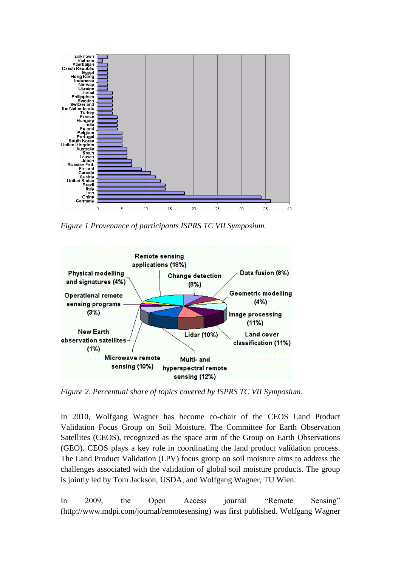

*Figure 1 Provenance of participants ISPRS TC VII Symposium.*



*Figure 2. Percentual share of topics covered by ISPRS TC VII Symposium.*

In 2010, Wolfgang Wagner has become co-chair of the CEOS Land Product Validation Focus Group on Soil Moisture. The Committee for Earth Observation Satellites (CEOS), recognized as the space arm of the Group on Earth Observations (GEO). CEOS plays a key role in coordinating the land product validation process. The Land Product Validation (LPV) focus group on soil moisture aims to address the challenges associated with the validation of global soil moisture products. The group is jointly led by Tom Jackson, USDA, and Wolfgang Wagner, TU Wien.

In 2009, the Open Access journal "Remote Sensing" [\(http://www.mdpi.com/journal/remotesensing\)](http://www.mdpi.com/journal/remotesensing) was first published. Wolfgang Wagner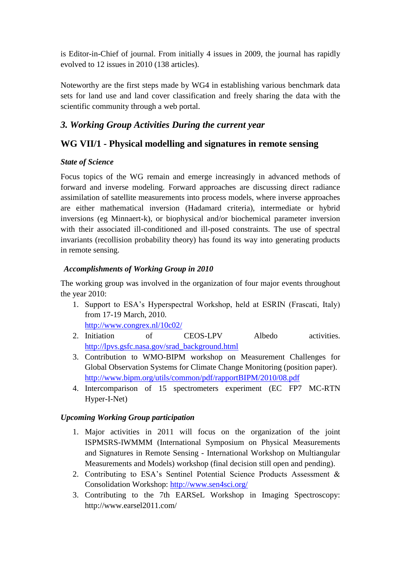is Editor-in-Chief of journal. From initially 4 issues in 2009, the journal has rapidly evolved to 12 issues in 2010 (138 articles).

Noteworthy are the first steps made by WG4 in establishing various benchmark data sets for land use and land cover classification and freely sharing the data with the scientific community through a web portal.

## *3. Working Group Activities During the current year*

### **WG VII/1 - Physical modelling and signatures in remote sensing**

### *State of Science*

Focus topics of the WG remain and emerge increasingly in advanced methods of forward and inverse modeling. Forward approaches are discussing direct radiance assimilation of satellite measurements into process models, where inverse approaches are either mathematical inversion (Hadamard criteria), intermediate or hybrid inversions (eg Minnaert-k), or biophysical and/or biochemical parameter inversion with their associated ill-conditioned and ill-posed constraints. The use of spectral invariants (recollision probability theory) has found its way into generating products in remote sensing.

### *Accomplishments of Working Group in 2010*

The working group was involved in the organization of four major events throughout the year 2010:

- 1. Support to ESA"s Hyperspectral Workshop, held at ESRIN (Frascati, Italy) from 17-19 March, 2010. <http://www.congrex.nl/10c02/>
- 2. Initiation of CEOS-LPV Albedo activities. [http://lpvs.gsfc.nasa.gov/srad\\_background.html](http://lpvs.gsfc.nasa.gov/srad_background.html)
- 3. Contribution to WMO-BIPM workshop on Measurement Challenges for Global Observation Systems for Climate Change Monitoring (position paper). <http://www.bipm.org/utils/common/pdf/rapportBIPM/2010/08.pdf>
- 4. Intercomparison of 15 spectrometers experiment (EC FP7 MC-RTN Hyper-I-Net)

### *Upcoming Working Group participation*

- 1. Major activities in 2011 will focus on the organization of the joint ISPMSRS-IWMMM (International Symposium on Physical Measurements and Signatures in Remote Sensing - International Workshop on Multiangular Measurements and Models) workshop (final decision still open and pending).
- 2. Contributing to ESA"s Sentinel Potential Science Products Assessment & Consolidation Workshop:<http://www.sen4sci.org/>
- 3. Contributing to the 7th EARSeL Workshop in Imaging Spectroscopy: http://www.earsel2011.com/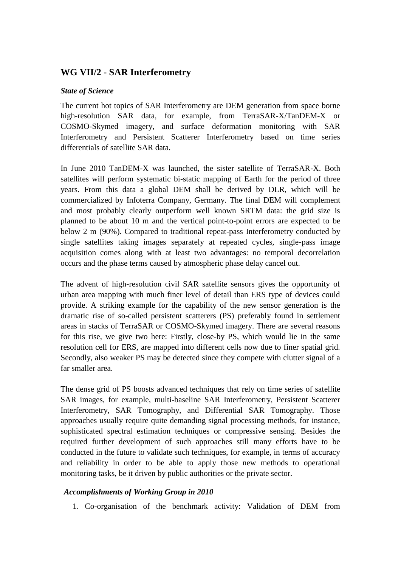### **WG VII/2 - SAR Interferometry**

#### *State of Science*

The current hot topics of SAR Interferometry are DEM generation from space borne high-resolution SAR data, for example, from TerraSAR-X/TanDEM-X or COSMO-Skymed imagery, and surface deformation monitoring with SAR Interferometry and Persistent Scatterer Interferometry based on time series differentials of satellite SAR data.

In June 2010 TanDEM-X was launched, the sister satellite of TerraSAR-X. Both satellites will perform systematic bi-static mapping of Earth for the period of three years. From this data a global DEM shall be derived by DLR, which will be commercialized by Infoterra Company, Germany. The final DEM will complement and most probably clearly outperform well known SRTM data: the grid size is planned to be about 10 m and the vertical point-to-point errors are expected to be below 2 m (90%). Compared to traditional repeat-pass Interferometry conducted by single satellites taking images separately at repeated cycles, single-pass image acquisition comes along with at least two advantages: no temporal decorrelation occurs and the phase terms caused by atmospheric phase delay cancel out.

The advent of high-resolution civil SAR satellite sensors gives the opportunity of urban area mapping with much finer level of detail than ERS type of devices could provide. A striking example for the capability of the new sensor generation is the dramatic rise of so-called persistent scatterers (PS) preferably found in settlement areas in stacks of TerraSAR or COSMO-Skymed imagery. There are several reasons for this rise, we give two here: Firstly, close-by PS, which would lie in the same resolution cell for ERS, are mapped into different cells now due to finer spatial grid. Secondly, also weaker PS may be detected since they compete with clutter signal of a far smaller area.

The dense grid of PS boosts advanced techniques that rely on time series of satellite SAR images, for example, multi-baseline SAR Interferometry, Persistent Scatterer Interferometry, SAR Tomography, and Differential SAR Tomography. Those approaches usually require quite demanding signal processing methods, for instance, sophisticated spectral estimation techniques or compressive sensing. Besides the required further development of such approaches still many efforts have to be conducted in the future to validate such techniques, for example, in terms of accuracy and reliability in order to be able to apply those new methods to operational monitoring tasks, be it driven by public authorities or the private sector.

#### *Accomplishments of Working Group in 2010*

1. Co-organisation of the benchmark activity: Validation of DEM from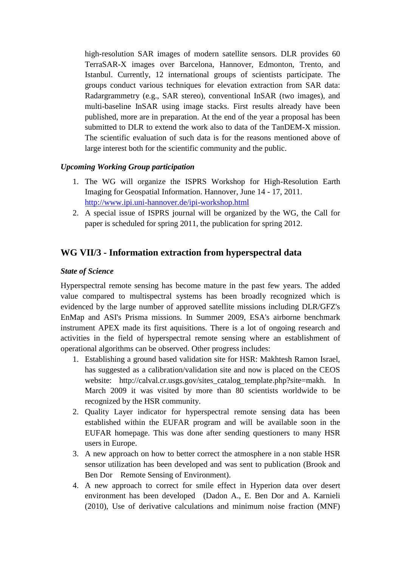high-resolution SAR images of modern satellite sensors. DLR provides 60 TerraSAR-X images over Barcelona, Hannover, Edmonton, Trento, and Istanbul. Currently, 12 international groups of scientists participate. The groups conduct various techniques for elevation extraction from SAR data: Radargrammetry (e.g., SAR stereo), conventional InSAR (two images), and multi-baseline InSAR using image stacks. First results already have been published, more are in preparation. At the end of the year a proposal has been submitted to DLR to extend the work also to data of the TanDEM-X mission. The scientific evaluation of such data is for the reasons mentioned above of large interest both for the scientific community and the public.

#### *Upcoming Working Group participation*

- 1. The WG will organize the ISPRS Workshop for High-Resolution Earth Imaging for Geospatial Information. Hannover, June 14 - 17, 2011. <http://www.ipi.uni-hannover.de/ipi-workshop.html>
- 2. A special issue of ISPRS journal will be organized by the WG, the Call for paper is scheduled for spring 2011, the publication for spring 2012.

### **WG VII/3 - Information extraction from hyperspectral data**

#### *State of Science*

Hyperspectral remote sensing has become mature in the past few years. The added value compared to multispectral systems has been broadly recognized which is evidenced by the large number of approved satellite missions including DLR/GFZ's EnMap and ASI's Prisma missions. In Summer 2009, ESA's airborne benchmark instrument APEX made its first aquisitions. There is a lot of ongoing research and activities in the field of hyperspectral remote sensing where an establishment of operational algorithms can be observed. Other progress includes:

- 1. Establishing a ground based validation site for HSR: Makhtesh Ramon Israel, has suggested as a calibration/validation site and now is placed on the CEOS website: http://calval.cr.usgs.gov/sites catalog template.php?site=makh. In March 2009 it was visited by more than 80 scientists worldwide to be recognized by the HSR community.
- 2. Quality Layer indicator for hyperspectral remote sensing data has been established within the EUFAR program and will be available soon in the EUFAR homepage. This was done after sending questioners to many HSR users in Europe.
- 3. A new approach on how to better correct the atmosphere in a non stable HSR sensor utilization has been developed and was sent to publication (Brook and Ben Dor Remote Sensing of Environment).
- 4. A new approach to correct for smile effect in Hyperion data over desert environment has been developed (Dadon A., E. Ben Dor and A. Karnieli (2010), Use of derivative calculations and minimum noise fraction (MNF)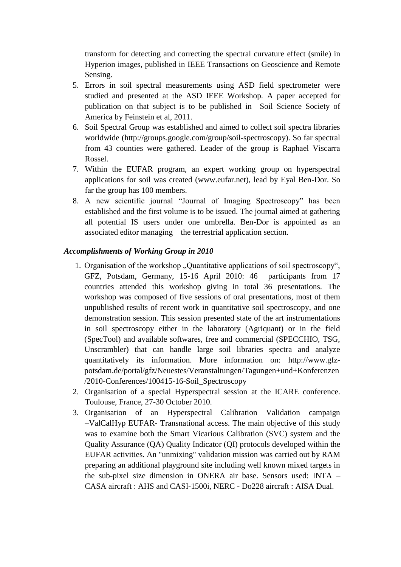transform for detecting and correcting the spectral curvature effect (smile) in Hyperion images, published in IEEE Transactions on Geoscience and Remote Sensing.

- 5. Errors in soil spectral measurements using ASD field spectrometer were studied and presented at the ASD IEEE Workshop. A paper accepted for publication on that subject is to be published in Soil Science Society of America by Feinstein et al, 2011.
- 6. Soil Spectral Group was established and aimed to collect soil spectra libraries worldwide (http://groups.google.com/group/soil-spectroscopy). So far spectral from 43 counties were gathered. Leader of the group is Raphael Viscarra Rossel.
- 7. Within the EUFAR program, an expert working group on hyperspectral applications for soil was created (www.eufar.net), lead by Eyal Ben-Dor. So far the group has 100 members.
- 8. A new scientific journal "Journal of Imaging Spectroscopy" has been established and the first volume is to be issued. The journal aimed at gathering all potential IS users under one umbrella. Ben-Dor is appointed as an associated editor managing the terrestrial application section.

#### *Accomplishments of Working Group in 2010*

- 1. Organisation of the workshop "Quantitative applications of soil spectroscopy", GFZ, Potsdam, Germany, 15-16 April 2010: 46 participants from 17 countries attended this workshop giving in total 36 presentations. The workshop was composed of five sessions of oral presentations, most of them unpublished results of recent work in quantitative soil spectroscopy, and one demonstration session. This session presented state of the art instrumentations in soil spectroscopy either in the laboratory (Agriquant) or in the field (SpecTool) and available softwares, free and commercial (SPECCHIO, TSG, Unscrambler) that can handle large soil libraries spectra and analyze quantitatively its information. More information on: http://www.gfzpotsdam.de/portal/gfz/Neuestes/Veranstaltungen/Tagungen+und+Konferenzen /2010-Conferences/100415-16-Soil\_Spectroscopy
- 2. Organisation of a special Hyperspectral session at the ICARE conference. Toulouse, France, 27-30 October 2010.
- 3. Organisation of an Hyperspectral Calibration Validation campaign –ValCalHyp EUFAR- Transnational access. The main objective of this study was to examine both the Smart Vicarious Calibration (SVC) system and the Quality Assurance (QA) Quality Indicator (QI) protocols developed within the EUFAR activities. An "unmixing" validation mission was carried out by RAM preparing an additional playground site including well known mixed targets in the sub-pixel size dimension in ONERA air base. Sensors used: INTA – CASA aircraft : AHS and CASI-1500i, NERC - Do228 aircraft : AISA Dual.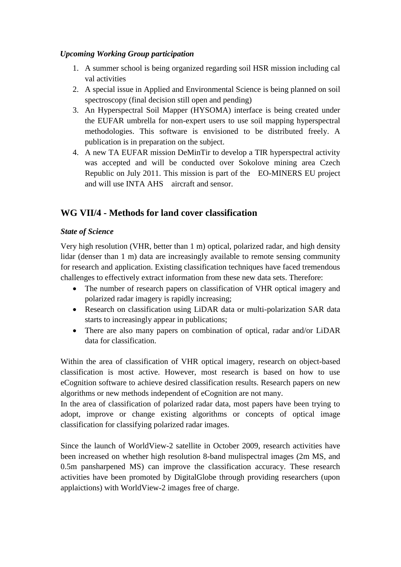#### *Upcoming Working Group participation*

- 1. A summer school is being organized regarding soil HSR mission including cal val activities
- 2. A special issue in Applied and Environmental Science is being planned on soil spectroscopy (final decision still open and pending)
- 3. An Hyperspectral Soil Mapper (HYSOMA) interface is being created under the EUFAR umbrella for non-expert users to use soil mapping hyperspectral methodologies. This software is envisioned to be distributed freely. A publication is in preparation on the subject.
- 4. A new TA EUFAR mission DeMinTir to develop a TIR hyperspectral activity was accepted and will be conducted over Sokolove mining area Czech Republic on July 2011. This mission is part of the EO-MINERS EU project and will use INTA AHS aircraft and sensor.

# **WG VII/4 - Methods for land cover classification**

#### *State of Science*

Very high resolution (VHR, better than 1 m) optical, polarized radar, and high density lidar (denser than 1 m) data are increasingly available to remote sensing community for research and application. Existing classification techniques have faced tremendous challenges to effectively extract information from these new data sets. Therefore:

- The number of research papers on classification of VHR optical imagery and polarized radar imagery is rapidly increasing;
- Research on classification using LiDAR data or multi-polarization SAR data starts to increasingly appear in publications;
- There are also many papers on combination of optical, radar and/or LiDAR data for classification.

Within the area of classification of VHR optical imagery, research on object-based classification is most active. However, most research is based on how to use eCognition software to achieve desired classification results. Research papers on new algorithms or new methods independent of eCognition are not many.

In the area of classification of polarized radar data, most papers have been trying to adopt, improve or change existing algorithms or concepts of optical image classification for classifying polarized radar images.

Since the launch of WorldView-2 satellite in October 2009, research activities have been increased on whether high resolution 8-band mulispectral images (2m MS, and 0.5m pansharpened MS) can improve the classification accuracy. These research activities have been promoted by DigitalGlobe through providing researchers (upon applaictions) with WorldView-2 images free of charge.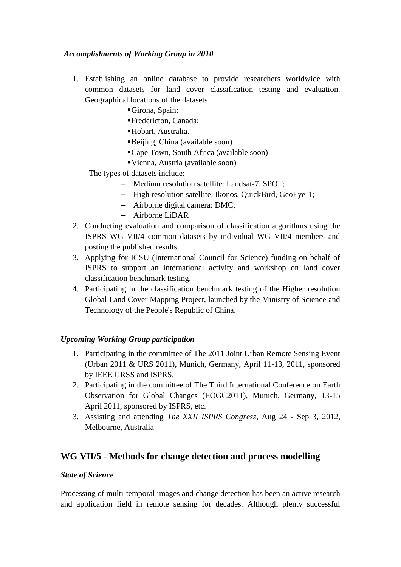#### *Accomplishments of Working Group in 2010*

- 1. Establishing an online database to provide researchers worldwide with common datasets for land cover classification testing and evaluation. Geographical locations of the datasets:
	- Girona, Spain;
	- Fredericton, Canada;
	- Hobart, Australia.
	- Beijing, China (available soon)
	- Cape Town, South Africa (available soon)
	- Vienna, Austria (available soon)

The types of datasets include:

- Medium resolution satellite: Landsat-7, SPOT;
- High resolution satellite: Ikonos, QuickBird, GeoEye-1;
- Airborne digital camera: DMC;
- Airborne LiDAR
- 2. Conducting evaluation and comparison of classification algorithms using the ISPRS WG VII/4 common datasets by individual WG VII/4 members and posting the published results
- 3. Applying for ICSU (International Council for Science) funding on behalf of ISPRS to support an international activity and workshop on land cover classification benchmark testing.
- 4. Participating in the classification benchmark testing of the Higher resolution Global Land Cover Mapping Project, launched by the Ministry of Science and Technology of the People's Republic of China.

#### *Upcoming Working Group participation*

- 1. Participating in the committee of The 2011 Joint Urban Remote Sensing Event (Urban 2011 & URS 2011), Munich, Germany, April 11-13, 2011, sponsored by IEEE GRSS and ISPRS.
- 2. Participating in the committee of The Third International Conference on Earth Observation for Global Changes (EOGC2011), Munich, Germany, 13-15 April 2011, sponsored by ISPRS, etc.
- 3. Assisting and attending *The XXII ISPRS Congress*, Aug 24 Sep 3, 2012, Melbourne, Australia

### **WG VII/5 - Methods for change detection and process modelling**

#### *State of Science*

Processing of multi-temporal images and change detection has been an active research and application field in remote sensing for decades. Although plenty successful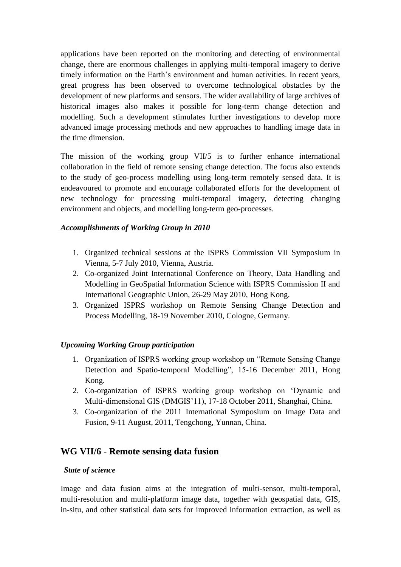applications have been reported on the monitoring and detecting of environmental change, there are enormous challenges in applying multi-temporal imagery to derive timely information on the Earth"s environment and human activities. In recent years, great progress has been observed to overcome technological obstacles by the development of new platforms and sensors. The wider availability of large archives of historical images also makes it possible for long-term change detection and modelling. Such a development stimulates further investigations to develop more advanced image processing methods and new approaches to handling image data in the time dimension.

The mission of the working group VII/5 is to further enhance international collaboration in the field of remote sensing change detection. The focus also extends to the study of geo-process modelling using long-term remotely sensed data. It is endeavoured to promote and encourage collaborated efforts for the development of new technology for processing multi-temporal imagery, detecting changing environment and objects, and modelling long-term geo-processes.

#### *Accomplishments of Working Group in 2010*

- 1. Organized technical sessions at the ISPRS Commission VII Symposium in Vienna, 5-7 July 2010, Vienna, Austria.
- 2. Co-organized Joint International Conference on Theory, Data Handling and Modelling in GeoSpatial Information Science with ISPRS Commission II and International Geographic Union, 26-29 May 2010, Hong Kong.
- 3. Organized ISPRS workshop on Remote Sensing Change Detection and Process Modelling, 18-19 November 2010, Cologne, Germany.

### *Upcoming Working Group participation*

- 1. Organization of ISPRS working group workshop on "Remote Sensing Change Detection and Spatio-temporal Modelling", 15-16 December 2011, Hong Kong.
- 2. Co-organization of ISPRS working group workshop on "Dynamic and Multi-dimensional GIS (DMGIS"11), 17-18 October 2011, Shanghai, China.
- 3. Co-organization of the 2011 International Symposium on Image Data and Fusion, 9-11 August, 2011, Tengchong, Yunnan, China.

### **WG VII/6 - Remote sensing data fusion**

#### *State of science*

Image and data fusion aims at the integration of multi-sensor, multi-temporal, multi-resolution and multi-platform image data, together with geospatial data, GIS, in-situ, and other statistical data sets for improved information extraction, as well as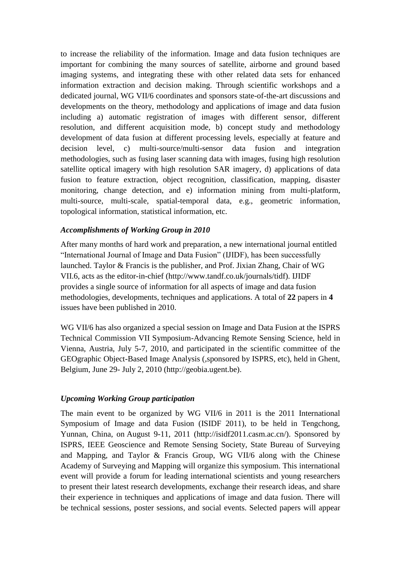to increase the reliability of the information. Image and data fusion techniques are important for combining the many sources of satellite, airborne and ground based imaging systems, and integrating these with other related data sets for enhanced information extraction and decision making. Through scientific workshops and a dedicated journal, WG VII/6 coordinates and sponsors state-of-the-art discussions and developments on the theory, methodology and applications of image and data fusion including a) automatic registration of images with different sensor, different resolution, and different acquisition mode, b) concept study and methodology development of data fusion at different processing levels, especially at feature and decision level, c) multi-source/multi-sensor data fusion and integration methodologies, such as fusing laser scanning data with images, fusing high resolution satellite optical imagery with high resolution SAR imagery, d) applications of data fusion to feature extraction, object recognition, classification, mapping, disaster monitoring, change detection, and e) information mining from multi-platform, multi-source, multi-scale, spatial-temporal data, e.g., geometric information, topological information, statistical information, etc.

#### *Accomplishments of Working Group in 2010*

After many months of hard work and preparation, a new international journal entitled "International Journal of Image and Data Fusion" (IJIDF), has been successfully launched. Taylor & Francis is the publisher, and Prof. Jixian Zhang, Chair of WG VII.6, acts as the editor-in-chief (http://www.tandf.co.uk/journals/tidf). IJIDF provides a single source of information for all aspects of image and data fusion methodologies, developments, techniques and applications. A total of **22** papers in **4** issues have been published in 2010.

WG VII/6 has also organized a special session on Image and Data Fusion at the ISPRS Technical Commission VII Symposium-Advancing Remote Sensing Science, held in Vienna, Austria, July 5-7, 2010, and participated in the scientific committee of the GEOgraphic Object-Based Image Analysis (,sponsored by ISPRS, etc), held in Ghent, Belgium, June 29- July 2, 2010 (http://geobia.ugent.be).

#### *Upcoming Working Group participation*

The main event to be organized by WG VII/6 in 2011 is the 2011 International Symposium of Image and data Fusion (ISIDF 2011), to be held in Tengchong, Yunnan, China, on August 9-11, 2011 (http://isidf2011.casm.ac.cn/). Sponsored by ISPRS, IEEE Geoscience and Remote Sensing Society, State Bureau of Surveying and Mapping, and Taylor & Francis Group, WG VII/6 along with the Chinese Academy of Surveying and Mapping will organize this symposium. This international event will provide a forum for leading international scientists and young researchers to present their latest research developments, exchange their research ideas, and share their experience in techniques and applications of image and data fusion. There will be technical sessions, poster sessions, and social events. Selected papers will appear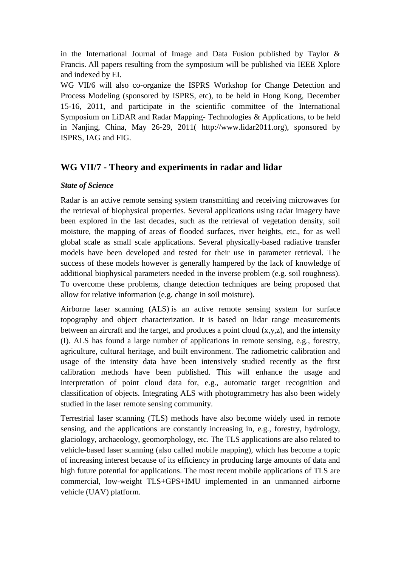in the International Journal of Image and Data Fusion published by Taylor  $\&$ Francis. All papers resulting from the symposium will be published via IEEE Xplore and indexed by EI.

WG VII/6 will also co-organize the ISPRS Workshop for Change Detection and Process Modeling (sponsored by ISPRS, etc), to be held in Hong Kong, December 15-16, 2011, and participate in the scientific committee of the International Symposium on LiDAR and Radar Mapping- Technologies & Applications, to be held in Nanjing, China, May 26-29, 2011( http://www.lidar2011.org), sponsored by ISPRS, IAG and FIG.

### **WG VII/7 - Theory and experiments in radar and lidar**

#### *State of Science*

Radar is an active remote sensing system transmitting and receiving microwaves for the retrieval of biophysical properties. Several applications using radar imagery have been explored in the last decades, such as the retrieval of vegetation density, soil moisture, the mapping of areas of flooded surfaces, river heights, etc., for as well global scale as small scale applications. Several physically-based radiative transfer models have been developed and tested for their use in parameter retrieval. The success of these models however is generally hampered by the lack of knowledge of additional biophysical parameters needed in the inverse problem (e.g. soil roughness). To overcome these problems, change detection techniques are being proposed that allow for relative information (e.g. change in soil moisture).

Airborne laser scanning (ALS) is an active remote sensing system for surface topography and object characterization. It is based on lidar range measurements between an aircraft and the target, and produces a point cloud  $(x,y,z)$ , and the intensity (I). ALS has found a large number of applications in remote sensing, e.g., forestry, agriculture, cultural heritage, and built environment. The radiometric calibration and usage of the intensity data have been intensively studied recently as the first calibration methods have been published. This will enhance the usage and interpretation of point cloud data for, e.g., automatic target recognition and classification of objects. Integrating ALS with photogrammetry has also been widely studied in the laser remote sensing community.

Terrestrial laser scanning (TLS) methods have also become widely used in remote sensing, and the applications are constantly increasing in, e.g., forestry, hydrology, glaciology, archaeology, geomorphology, etc. The TLS applications are also related to vehicle-based laser scanning (also called mobile mapping), which has become a topic of increasing interest because of its efficiency in producing large amounts of data and high future potential for applications. The most recent mobile applications of TLS are commercial, low-weight TLS+GPS+IMU implemented in an unmanned airborne vehicle (UAV) platform.